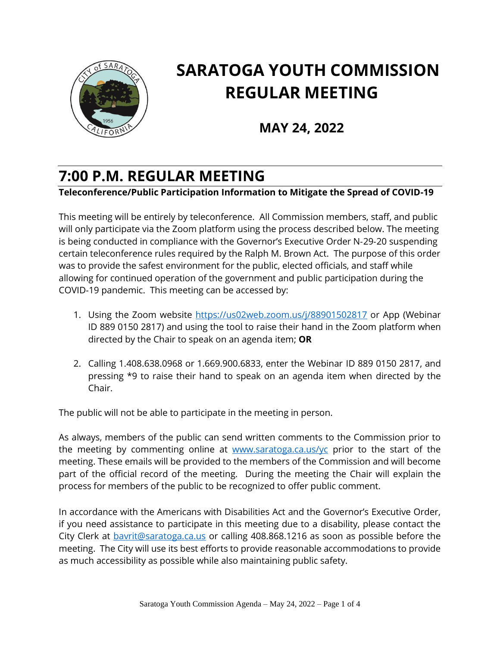

# **SARATOGA YOUTH COMMISSION REGULAR MEETING**

**MAY 24, 2022**

# **7:00 P.M. REGULAR MEETING**

#### **Teleconference/Public Participation Information to Mitigate the Spread of COVID-19**

This meeting will be entirely by teleconference. All Commission members, staff, and public will only participate via the Zoom platform using the process described below. The meeting is being conducted in compliance with the Governor's Executive Order N‐29‐20 suspending certain teleconference rules required by the Ralph M. Brown Act. The purpose of this order was to provide the safest environment for the public, elected officials, and staff while allowing for continued operation of the government and public participation during the COVID‐19 pandemic. This meeting can be accessed by:

- 1. Using the Zoom website<https://us02web.zoom.us/j/88901502817> or App (Webinar ID 889 0150 2817) and using the tool to raise their hand in the Zoom platform when directed by the Chair to speak on an agenda item; **OR**
- 2. Calling 1.408.638.0968 or 1.669.900.6833, enter the Webinar ID 889 0150 2817, and pressing \*9 to raise their hand to speak on an agenda item when directed by the Chair.

The public will not be able to participate in the meeting in person.

As always, members of the public can send written comments to the Commission prior to the meeting by commenting online at [www.saratoga.ca.us/yc](http://www.saratoga.ca.us/yc) prior to the start of the meeting. These emails will be provided to the members of the Commission and will become part of the official record of the meeting. During the meeting the Chair will explain the process for members of the public to be recognized to offer public comment.

In accordance with the Americans with Disabilities Act and the Governor's Executive Order, if you need assistance to participate in this meeting due to a disability, please contact the City Clerk at [bavrit@saratoga.ca.us](mailto:bavrit@saratoga.ca.us) or calling 408.868.1216 as soon as possible before the meeting. The City will use its best efforts to provide reasonable accommodations to provide as much accessibility as possible while also maintaining public safety.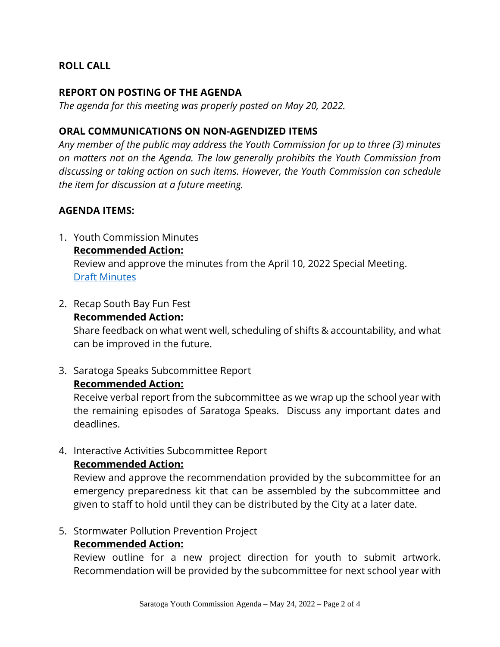# **ROLL CALL**

#### **REPORT ON POSTING OF THE AGENDA**

*The agenda for this meeting was properly posted on May 20, 2022.*

#### **ORAL COMMUNICATIONS ON NON-AGENDIZED ITEMS**

*Any member of the public may address the Youth Commission for up to three (3) minutes on matters not on the Agenda. The law generally prohibits the Youth Commission from discussing or taking action on such items. However, the Youth Commission can schedule the item for discussion at a future meeting.* 

#### **AGENDA ITEMS:**

- 1. Youth Commission Minutes **Recommended Action:** Review and approve the minutes from the April 10, 2022 Special Meeting. [Draft Minutes](https://legistarweb-production.s3.amazonaws.com/uploads/attachment/attachment/1391362/2022_05_10_MINUTES_Special_Meeting.pdf)
- 2. Recap South Bay Fun Fest

#### **Recommended Action:**

Share feedback on what went well, scheduling of shifts & accountability, and what can be improved in the future.

3. Saratoga Speaks Subcommittee Report

#### **Recommended Action:**

Receive verbal report from the subcommittee as we wrap up the school year with the remaining episodes of Saratoga Speaks. Discuss any important dates and deadlines.

4. Interactive Activities Subcommittee Report

#### **Recommended Action:**

Review and approve the recommendation provided by the subcommittee for an emergency preparedness kit that can be assembled by the subcommittee and given to staff to hold until they can be distributed by the City at a later date.

#### 5. Stormwater Pollution Prevention Project

# **Recommended Action:**

Review outline for a new project direction for youth to submit artwork. Recommendation will be provided by the subcommittee for next school year with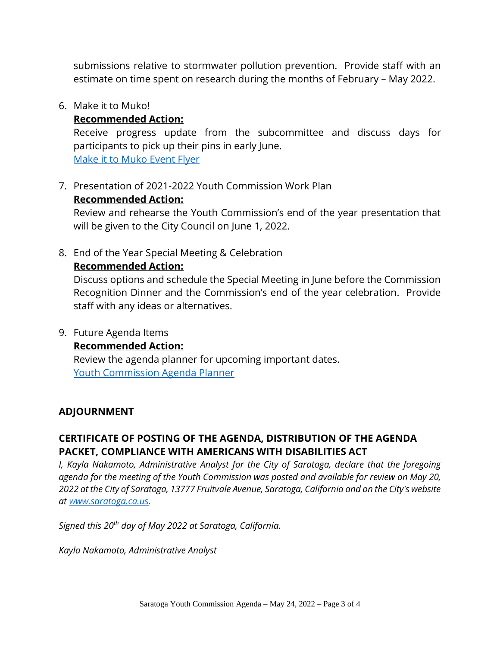submissions relative to stormwater pollution prevention. Provide staff with an estimate on time spent on research during the months of February – May 2022.

#### 6. Make it to Muko!

## **Recommended Action:**

Receive progress update from the subcommittee and discuss days for participants to pick up their pins in early June. [Make it to Muko Event Flyer](https://legistarweb-production.s3.amazonaws.com/uploads/attachment/pdf/1391350/MITM_Flyer_.pdf)

7. Presentation of 2021-2022 Youth Commission Work Plan

# **Recommended Action:**

Review and rehearse the Youth Commission's end of the year presentation that will be given to the City Council on June 1, 2022.

8. End of the Year Special Meeting & Celebration

# **Recommended Action:**

Discuss options and schedule the Special Meeting in June before the Commission Recognition Dinner and the Commission's end of the year celebration. Provide staff with any ideas or alternatives.

# 9. Future Agenda Items

# **Recommended Action:**

Review the agenda planner for upcoming important dates. [Youth Commission Agenda Planner](https://legistarweb-production.s3.amazonaws.com/uploads/attachment/attachment/1391348/2022_05_24_YC_Agenda_Planner.pdf)

# **ADJOURNMENT**

# **CERTIFICATE OF POSTING OF THE AGENDA, DISTRIBUTION OF THE AGENDA PACKET, COMPLIANCE WITH AMERICANS WITH DISABILITIES ACT**

*I, Kayla Nakamoto, Administrative Analyst for the City of Saratoga, declare that the foregoing agenda for the meeting of the Youth Commission was posted and available for review on May 20, 2022 at the City of Saratoga, 13777 Fruitvale Avenue, Saratoga, California and on the City's website at [www.saratoga.ca.us.](https://protect-us.mimecast.com/s/bAn5CrkEm2FxLjQS7J9kT?domain=saratoga.ca.us)* 

*Signed this 20th day of May 2022 at Saratoga, California.* 

*Kayla Nakamoto, Administrative Analyst*